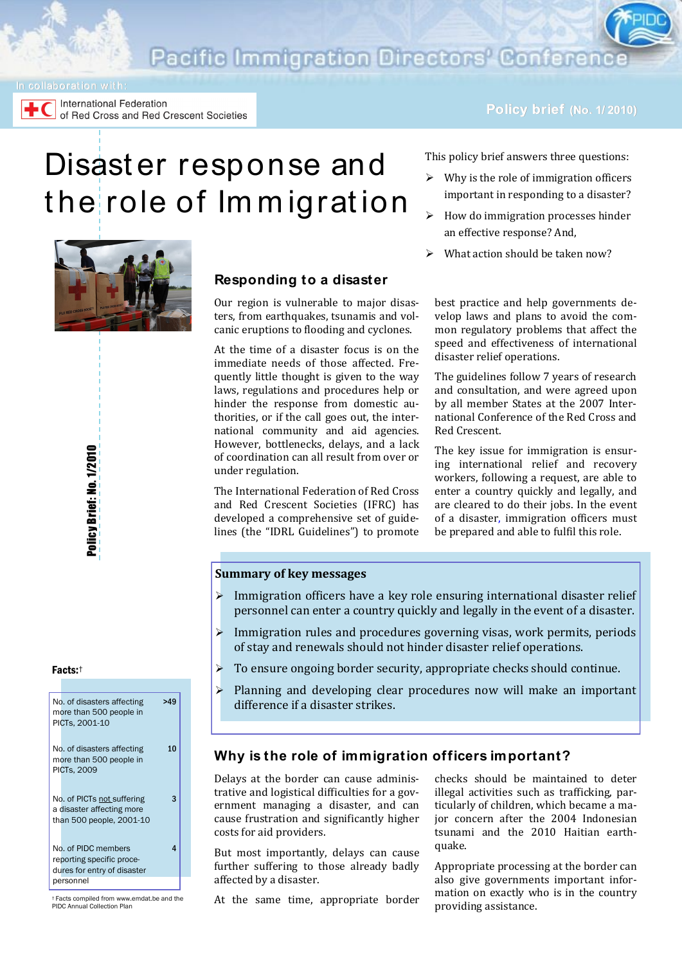**Pacific Immigration Directors' Conferen** 

International Federation of Red Cross and Red Crescent Societies

#### **Policy brief (No. 1/ 2010)**

# Disast er response and the role of Immigration

This policy brief answers three questions:

- $\triangleright$  Why is the role of immigration officers important in responding to a disaster?
- How do immigration processes hinder an effective response? And,

best practice and help governments develop laws and plans to avoid the common regulatory problems that affect the speed and effectiveness of international

The guidelines follow 7 years of research and consultation, and were agreed upon by all member States at the 2007 International Conference of the Red Cross and

The key issue for immigration is ensuring international relief and recovery workers, following a request, are able to enter a country quickly and legally, and are cleared to do their jobs. In the event of a disaster, immigration officers must be prepared and able to fulfil this role.

What action should be taken now?

disaster relief operations.

Red Crescent.

# **Responding to a disaster**

Our region is vulnerable to major disasters, from earthquakes, tsunamis and volcanic eruptions to flooding and cyclones.

At the time of a disaster focus is on the immediate needs of those affected. Frequently little thought is given to the way laws, regulations and procedures help or hinder the response from domestic authorities, or if the call goes out, the international community and aid agencies. However, bottlenecks, delays, and a lack of coordination can all result from over or under regulation.

The International Federation of Red Cross and Red Crescent Societies (IFRC) has developed a comprehensive set of guidelines (the "IDRL Guidelines") to promote

# **Summary of key messages**

- Immigration officers have a key role ensuring international disaster relief personnel can enter a country quickly and legally in the event of a disaster.
- $\triangleright$  Immigration rules and procedures governing visas, work permits, periods of stay and renewals should not hinder disaster relief operations.
- To ensure ongoing border security, appropriate checks should continue.
- $\triangleright$  Planning and developing clear procedures now will make an important difference if a disaster strikes.

### **Why is the role of immigration officers important?**

Delays at the border can cause administrative and logistical difficulties for a government managing a disaster, and can cause frustration and significantly higher costs for aid providers.

But most importantly, delays can cause further suffering to those already badly affected by a disaster.

At the same time, appropriate border

checks should be maintained to deter illegal activities such as trafficking, particularly of children, which became a major concern after the 2004 Indonesian tsunami and the 2010 Haitian earthquake.

Appropriate processing at the border can also give governments important information on exactly who is in the country providing assistance.

Policy Brief: No. 1/2010

Policy Brief: No. 1/2010



† Facts compiled from www.emdat.be and the PIDC Annual Collection Plan